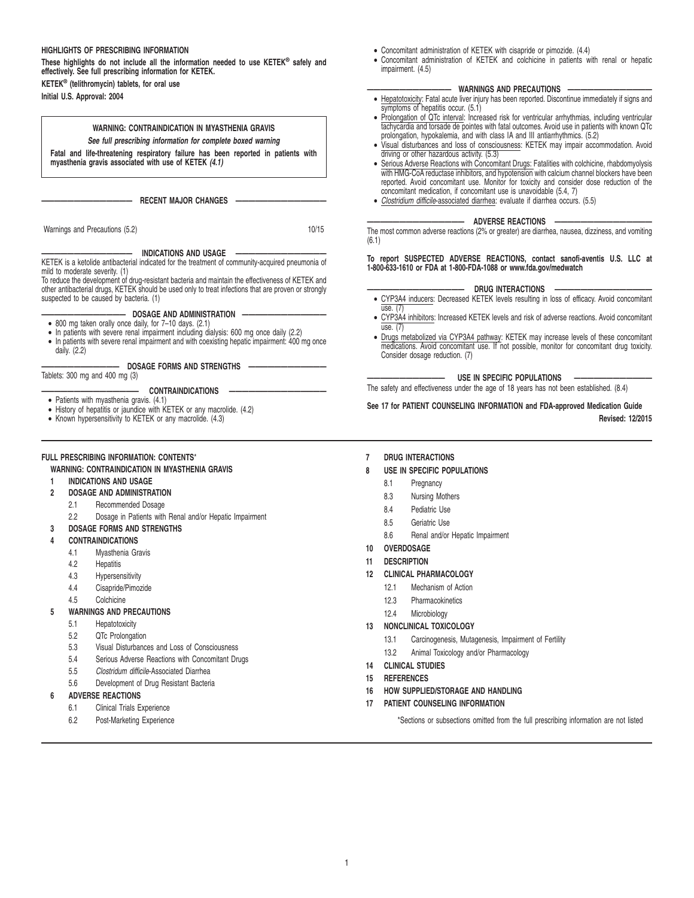# **HIGHLIGHTS OF PRESCRIBING INFORMATION**

**These highlights do not include all the information needed to use KETEK® safely and effectively. See full prescribing information for KETEK. KETEK® (telithromycin) tablets, for oral use**

**Initial U.S. Approval: 2004**

# **WARNING: CONTRAINDICATION IN MYASTHENIA GRAVIS**

**See full prescribing information for complete boxed warning**

**Fatal and life-threatening respiratory failure has been reported in patients with myasthenia gravis associated with use of KETEK (4.1)**

 $-$  RECENT MAJOR CHANGES

Warnings and Precautions (5.2) 10/15

## INDICATIONS AND USAGE

KETEK is a ketolide antibacterial indicated for the treatment of community-acquired pneumonia of

mild to moderate severity. (1) To reduce the development of drug-resistant bacteria and maintain the effectiveness of KETEK and other antibacterial drugs, KETEK should be used only to treat infections that are proven or strongly suspected to be caused by bacteria. (1)

#### $-$  DOSAGE AND ADMINISTRATION

- 800 mg taken orally once daily, for 7–10 days. (2.1)
- In patients with severe renal impairment including dialysis: 600 mg once daily (2.2)
- In patients with severe renal impairment and with coexisting hepatic impairment: 400 mg once daily. (2.2)

#### **———————————— DOSAGE FORMS AND STRENGTHS ————————————** Tablets: 300 mg and 400 mg (3)

- 
- **——————————————— CONTRAINDICATIONS ———————————————** Patients with myasthenia gravis. (4.1) History of hepatitis or jaundice with KETEK or any macrolide. (4.2)
- Known hypersensitivity to KETEK or any macrolide. (4.3)

#### **FULL PRESCRIBING INFORMATION: CONTENTS**\*

#### **WARNING: CONTRAINDICATION IN MYASTHENIA GRAVIS**

- **1 INDICATIONS AND USAGE**
- **2 DOSAGE AND ADMINISTRATION**
	- 2.1 Recommended Dosage
	- 2.2 Dosage in Patients with Renal and/or Hepatic Impairment
- **3 DOSAGE FORMS AND STRENGTHS**
- **4 CONTRAINDICATIONS**
	- 4.1 Myasthenia Gravis
		- 4.2 Hepatitis
		- 4.3 Hypersensitivity
		- 4.4 Cisapride/Pimozide
	- 4.5 Colchicine

#### **5 WARNINGS AND PRECAUTIONS**

- 5.1 Hepatotoxicity
- 5.2 QTc Prolongation
- 5.3 Visual Disturbances and Loss of Consciousness
- 5.4 Serious Adverse Reactions with Concomitant Drugs
- 5.5 Clostridum difficile-Associated Diarrhea
- 5.6 Development of Drug Resistant Bacteria

# **6 ADVERSE REACTIONS**

- 6.1 Clinical Trials Experience
- 6.2 Post-Marketing Experience
- Concomitant administration of KETEK with cisapride or pimozide. (4.4)
- Concomitant administration of KETEK and colchicine in patients with renal or hepatic impairment. (4.5)

#### **WARNINGS AND PRECAUTIONS**

- Hepatotoxicity: Fatal acute liver injury has been reported. Discontinue immediately if signs and symptoms of hepatitis occur. (5.1)
- Prolongation of QTc interval: Increased risk for ventricular arrhythmias, including ventricular tachycardia and torsade de pointes with fatal outcomes. Avoid use in patients with known QTc prolongation, hypokalemia, and with class IA and III antiarrhythmics. (5.2)
- Visual disturbances and loss of consciousness: KETEK may impair accommodation. Avoid driving or other hazardous activity. (5.3)
- Serious Adverse Reactions with Concomitant Drugs: Fatalities with colchicine, rhabdomyolysis with HMG-CoA reductase inhibitors, and hypotension with calcium channel blockers have been reported. Avoid concomitant use. Monitor for toxicity and consider dose reduction of the concomitant medication, if concomitant use is unavoidable (5.4, 7)
- Clostridium difficile-associated diarrhea: evaluate if diarrhea occurs. (5.5)

#### **ADVERSE REACTIONS**

The most common adverse reactions (2% or greater) are diarrhea, nausea, dizziness, and vomiting (6.1)

#### **To report SUSPECTED ADVERSE REACTIONS, contact sanofi-aventis U.S. LLC at 1-800-633-1610 or FDA at 1-800-FDA-1088 or www.fda.gov/medwatch**

#### - DRUG INTERACTIONS

- CYP3A4 inducers: Decreased KETEK levels resulting in loss of efficacy. Avoid concomitant use. (7)
- CYP3A4 inhibitors: Increased KETEK levels and risk of adverse reactions. Avoid concomitant use. (7)
- Drugs metabolized via CYP3A4 pathway: KETEK may increase levels of these concomitant medications. Avoid concomitant use. If not possible, monitor for concomitant drug toxicity. Consider dosage reduction. (7)

#### **USE IN SPECIFIC POPULATIONS**

The safety and effectiveness under the age of 18 years has not been established. (8.4)

# **See 17 for PATIENT COUNSELING INFORMATION and FDA-approved Medication Guide**

**Revised: 12/2015**

**7 DRUG INTERACTIONS**

#### **8 USE IN SPECIFIC POPULATIONS**

- 8.1 Pregnancy
- 8.3 Nursing Mothers
- 8.4 Pediatric Use
- 8.5 Geriatric Use
- 8.6 Renal and/or Hepatic Impairment
- **10 OVERDOSAGE**
- **11 DESCRIPTION**
- **12 CLINICAL PHARMACOLOGY**
	- 12.1 Mechanism of Action
	- 12.3 Pharmacokinetics
	- 12.4 Microbiology
- **13 NONCLINICAL TOXICOLOGY**
	- 13.1 Carcinogenesis, Mutagenesis, Impairment of Fertility
	- 13.2 Animal Toxicology and/or Pharmacology
- **14 CLINICAL STUDIES**
- **15 REFERENCES**
- **16 HOW SUPPLIED/STORAGE AND HANDLING**
- **17 PATIENT COUNSELING INFORMATION**

\*Sections or subsections omitted from the full prescribing information are not listed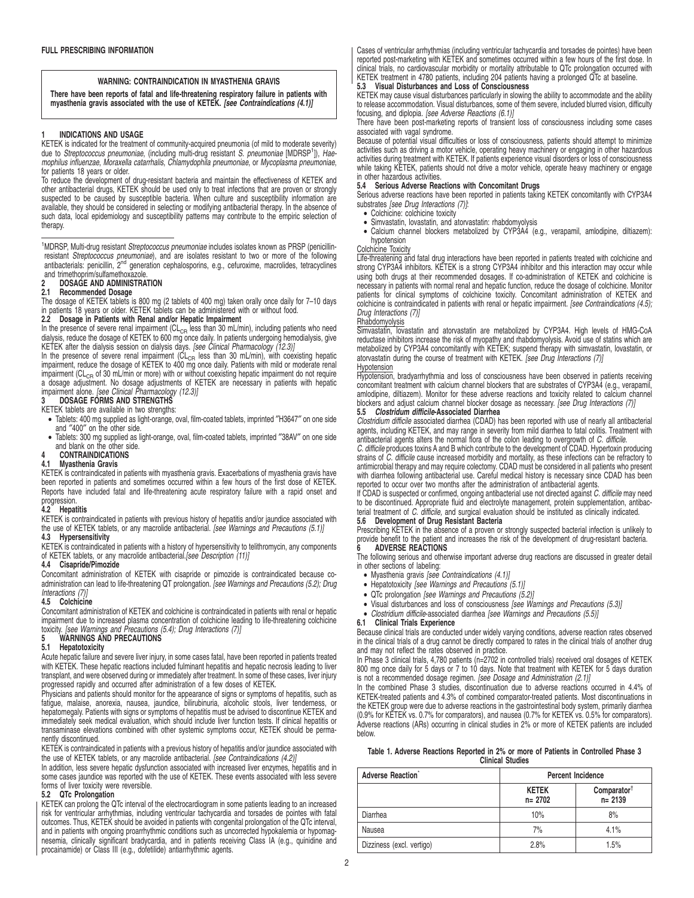# **WARNING: CONTRAINDICATION IN MYASTHENIA GRAVIS**

**There have been reports of fatal and life-threatening respiratory failure in patients with myasthenia gravis associated with the use of KETEK. [see Contraindications (4.1)]**

#### **1 INDICATIONS AND USAGE**

KETEK is indicated for the treatment of community-acquired pneumonia (of mild to moderate severity) due to *Streptococcus pneumoniae*, (including multi-drug resistant *S. pneumoniae* [MDRSP<sup>1</sup>]), Hae-<br>mophilus influenzae, Moraxella catarrhalis, Chlamydophila pneumoniae, or Mycoplasma pneumoniae, for patients 18 years or older.

To reduce the development of drug-resistant bacteria and maintain the effectiveness of KETEK and other antibacterial drugs, KETEK should be used only to treat infections that are proven or strongly suspected to be caused by susceptible bacteria. When culture and susceptibility information are available, they should be considered in selecting or modifying antibacterial therapy. In the absence of such data, local epidemiology and susceptibility patterns may contribute to the empiric selection of therapy.

<sup>1</sup>MDRSP, Multi-drug resistant Streptococcus pneumoniae includes isolates known as PRSP (penicillinresistant *Streptococcus pneumoniae*), and are isolates resistant to two or more of the following<br>antibacterials: penicillin, 2<sup>nd</sup> generation cephalosporins, e.g., cefuroxime, macrolides, tetracyclines and trimethoprim/sulfamethoxazole.

# **2 DOSAGE AND ADMINISTRATION**

#### **2.1 Recommended Dosage**

The dosage of KETEK tablets is 800 mg (2 tablets of 400 mg) taken orally once daily for 7-10 days in patients 18 years or older. KETEK tablets can be administered with or without food.

#### **2.2 Dosage in Patients with Renal and/or Hepatic Impairment**

In the presence of severe renal impairment ( $CL<sub>CR</sub>$  less than 30 mL/min), including patients who need dialysis, reduce the dosage of KETEK to 600 mg once daily. In patients undergoing hemodialysis, give KETEK after the dialysis session on dialysis days. [see Clinical Pharmacology (12.3)]

In the presence of severe renal impairment ( $CL<sub>CR</sub>$  less than 30 mL/min), with coexisting hepatic impairment, reduce the dosage of KETEK to 400 mg once daily. Patients with mild or moderate renal impairment (CL<sub>CR</sub> of 30 mL/min or more) with or without coexisting hepatic impairment do not require a dosage adjustment. No dosage adjustments of KETEK are necessary in patients with hepatic<br>impairment alone. *[see Clinical Pharmacology (12.3)]* 

# **3 DOSAGE FORMS AND STRENGTHS**

KETEK tablets are available in two strengths:

- Tablets: 400 mg supplied as light-orange, oval, film-coated tablets, imprinted ″H3647″ on one side and ″400″ on the other side.
- Tablets: 300 mg supplied as light-orange, oval, film-coated tablets, imprinted ″38AV″ on one side and blank on the other side.

# **4 CONTRAINDICATIONS**

#### **4.1 Myasthenia Gravis**

KETEK is contraindicated in patients with myasthenia gravis. Exacerbations of myasthenia gravis have been reported in patients and sometimes occurred within a few hours of the first dose of KETEK. Reports have included fatal and life-threatening acute respiratory failure with a rapid onset and

# progression. **4.2 Hepatitis**

KETEK is contraindicated in patients with previous history of hepatitis and/or jaundice associated with the use of KETEK tablets, or any macrolide antibacterial. [see Warnings and Precautions (5.1)]

# **4.3 Hypersensitivity**

KETEK is contraindicated in patients with a history of hypersensitivity to telithromycin, any components<br>of KETEK tablets, or any macrolide antibacterial.*[see Description (11)]* 

#### **4.4 Cisapride/Pimozide**

Concomitant administration of KETEK with cisapride or pimozide is contraindicated because coadministration can lead to life-threatening QT prolongation. Ssee Warnings and Precautions (5.2); Drug

# Interactions (7)] **4.5 Colchicine**

Concomitant administration of KETEK and colchicine is contraindicated in patients with renal or hepatic impairment due to increased plasma concentration of colchicine leading to life-threatening colchicine toxicity. [see Warnings and Precautions (5.4); Drug Interactions (7)]

# **5 WARNINGS AND PRECAUTIONS**

# **5.1 Hepatotoxicity**

Acute hepatic failure and severe liver injury, in some cases fatal, have been reported in patients treated with KETEK. These hepatic reactions included fulminant hepatitis and hepatic necrosis leading to liver transplant, and were observed during or immediately after treatment. In some of these cases, liver injury progressed rapidly and occurred after administration of a few doses of KETEK.

Physicians and patients should monitor for the appearance of signs or symptoms of hepatitis, such as fatigue, malaise, anorexia, nausea, jaundice, bilirubinuria, alcoholic stools, liver tenderness, or hepatomegaly. Patients with signs or symptoms of hepatitis must be advised to discontinue KETEK and immediately seek medical evaluation, which should include liver function tests. If clinical hepatitis or transaminase elevations combined with other systemic symptoms occur, KETEK should be permanently discontinued.

KETEK is contraindicated in patients with a previous history of hepatitis and/or jaundice associated with the use of KETEK tablets, or any macrolide antibacterial. [see Contraindications (4.2)]

In addition, less severe hepatic dysfunction associated with increased liver enzymes, hepatitis and in<br>some cases jaundice was reported with the use of KETEK. These events associated with less severe<br>forms of liver toxicit

### **5.2 QTc Prolongation**

KETEK can prolong the QTc interval of the electrocardiogram in some patients leading to an increased risk for ventricular arrhythmias, including ventricular tachycardia and torsades de pointes with fatal outcomes. Thus, KETEK should be avoided in patients with congenital prolongation of the QTc interval, and in patients with ongoing proarrhythmic conditions such as uncorrected hypokalemia or hypomagnesemia, clinically significant bradycardia, and in patients receiving Class IA (e.g., quinidine and procainamide) or Class III (e.g., dofetilide) antiarrhythmic agents.

Cases of ventricular arrhythmias (including ventricular tachycardia and torsades de pointes) have been reported post-marketing with KETEK and sometimes occurred within a few hours of the first dose. In clinical trials, no cardiovascular morbidity or mortality attributable to QTc prolongation occurred with KETEK treatment in 4780 patients, including 204 patients having a prolonged QTc at baseline.

#### **5.3 Visual Disturbances and Loss of Consciousness**

KETEK may cause visual disturbances particularly in slowing the ability to accommodate and the ability to release accommodation. Visual disturbances, some of them severe, included blurred vision, difficulty focusing, and diplopia. [see Adverse Reactions (6.1)]

There have been post-marketing reports of transient loss of consciousness including some cases associated with vagal syndrome.

Because of potential visual difficulties or loss of consciousness, patients should attempt to minimize activities such as driving a motor vehicle, operating heavy machinery or engaging in other hazardous activities during treatment with KETEK. If patients experience visual disorders or loss of consciousness while taking KETEK, patients should not drive a motor vehicle, operate heavy machinery or engage in other hazardous activities.

#### **5.4 Serious Adverse Reactions with Concomitant Drugs**

Serious adverse reactions have been reported in patients taking KETEK concomitantly with CYP3A4

- substrates [see Drug Interactions (7)]:<br>• Colchicine: colchicine toxicity
- Simvastatin, lovastatin, and atorvastatin; rhabdomyolysis
- Calcium channel blockers metabolized by CYP3A4 (e.g., verapamil, amlodipine, diltiazem): hypotension

### Colchicine Toxicity

Life-threatening and fatal drug interactions have been reported in patients treated with colchicine and strong CYP3A4 inhibitors. KETEK is a strong CYP3A4 inhibitor and this interaction may occur while using both drugs at their recommended dosages. If co-administration of KETEK and colchicine is necessary in patients with normal renal and hepatic function, reduce the dosage of colchicine. Monitor patients for clinical symptoms of colchicine toxicity. Concomitant administration of KETEK and colchicine is contraindicated in patients with renal or hepatic impairment. [see Contraindications (4.5); Drug Interactions (7)]

# Rhabdomyolysis

Simvastatin, lovastatin and atorvastatin are metabolized by CYP3A4. High levels of HMG-CoA reductase inhibitors increase the risk of myopathy and rhabdomyolysis. Avoid use of statins which are metabolized by CYP3A4 concomitantly with KETEK; suspend therapy with simvastatin, lovastatin, or atorvastatin during the course of treatment with KETEK. [see Drug Interactions (7)] Hypotension

Hypotension, bradyarrhythmia and loss of consciousness have been observed in patients receiving concomitant treatment with calcium channel blockers that are substrates of CYP3A4 (e.g., verapamil, amlodipine, diltiazem). Monitor for these adverse reactions and toxicity related to calcium channel blockers and adjust calcium channel blocker dosage as necessary. [see Drug Interactions (7)]

#### **5.5 Clostridum difficile-Associated Diarrhea**

Clostridium difficile associated diarrhea (CDAD) has been reported with use of nearly all antibacterial agents, including KETEK, and may range in severity from mild diarrhea to fatal colitis. Treatment with<br>antibacterial agents alters the normal flora of the colon leading to overgrowth of *C. difficile.* 

C. difficile produces toxins A and B which contribute to the development of CDAD. Hypertoxin producing strains of C. difficile cause increased morbidity and mortality, as these infections can be refractory to antimicrobial therapy and may require colectomy. CDAD must be considered in all patients who present with diarrhea following antibacterial use. Careful medical history is necessary since CDAD has been reported to occur over two months after the administration of antibacterial agents.

If CDAD is suspected or confirmed, ongoing antibacterial use not directed against C. difficile may need to be discontinued. Appropriate fluid and electrolyte management, protein supplementation, antibac-<br>terial treatment of C. difficile, and surgical evaluation should be instituted as clinically indicated.

#### **5.6 Development of Drug Resistant Bacteria**

Prescribing KETEK in the absence of a proven or strongly suspected bacterial infection is unlikely to provide benefit to the patient and increases the risk of the development of drug-resistant bacteria. **6 ADVERSE REACTIONS**

# The following serious and otherwise important adverse drug reactions are discussed in greater detail

- in other sections of labeling: • Myasthenia gravis [see Contraindications (4.1)]
	-
- Hepatotoxicity [see Warnings and Precautions (5.1)]
- QTc prolongation [see Warnings and Precautions (5.2)]
- Visual disturbances and loss of consciousness [see Warnings and Precautions (5.3)]
- Clostridium difficile-associated diarrhea [see Warnings and Precautions (5.5)]

#### **6.1 Clinical Trials Experience**

Because clinical trials are conducted under widely varying conditions, adverse reaction rates observed in the clinical trials of a drug cannot be directly compared to rates in the clinical trials of another drug and may not reflect the rates observed in practice.

In Phase 3 clinical trials, 4,780 patients (n=2702 in controlled trials) received oral dosages of KETEK 800 mg once daily for 5 days or 7 to 10 days. Note that treatment with KETEK for 5 days duration is not a recommended dosage regimen. [see Dosage and Administration (2.1)]

In the combined Phase 3 studies, discontinuation due to adverse reactions occurred in 4.4% of KETEK-treated patients and 4.3% of combined comparator-treated patients. Most discontinuations in the KETEK group were due to adverse reactions in the gastrointestinal body system, primarily diarrhea (0.9% for KETEK vs. 0.7% for comparators), and nausea (0.7% for KETEK vs. 0.5% for comparators). Adverse reactions (ARs) occurring in clinical studies in 2% or more of KETEK patients are included below.

|  |                         | Table 1. Adverse Reactions Reported in 2% or more of Patients in Controlled Phase 3 |
|--|-------------------------|-------------------------------------------------------------------------------------|
|  | <b>Clinical Studies</b> |                                                                                     |

| Adverse Reaction<br><b>Percent Incidence</b> |                            |                                       |
|----------------------------------------------|----------------------------|---------------------------------------|
|                                              | <b>KETEK</b><br>$n = 2702$ | Comparator <sup>†</sup><br>$n = 2139$ |
| <b>Diarrhea</b>                              | 10%                        | 8%                                    |
| Nausea                                       | 7%                         | 4.1%                                  |
| Dizziness (excl. vertigo)                    | 2.8%                       | 1.5%                                  |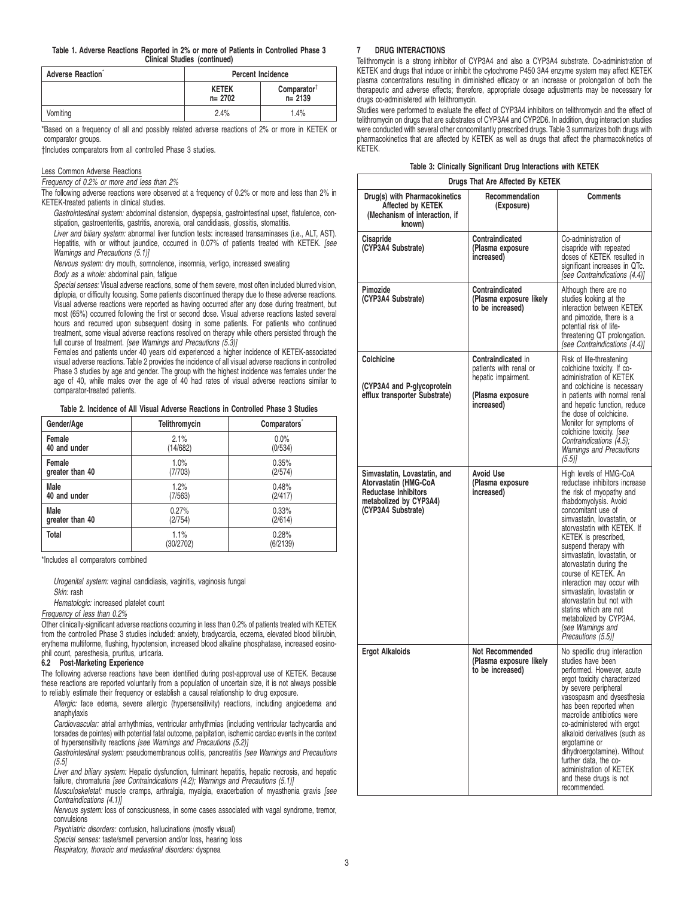**Table 1. Adverse Reactions Reported in 2% or more of Patients in Controlled Phase 3 Clinical Studies (continued)**

| Adverse Reaction | <b>Percent Incidence</b>                                           |      |  |
|------------------|--------------------------------------------------------------------|------|--|
|                  | $Comparator^{\dagger}$<br><b>KETEK</b><br>$n = 2139$<br>$n = 2702$ |      |  |
| Vomiting         | 2.4%                                                               | 1.4% |  |

\*Based on a frequency of all and possibly related adverse reactions of 2% or more in KETEK or comparator groups.

†Includes comparators from all controlled Phase 3 studies.

#### Less Common Adverse Reactions

Frequency of 0.2% or more and less than 2%

The following adverse reactions were observed at a frequency of 0.2% or more and less than 2% in KETEK-treated patients in clinical studies.

Gastrointestinal system: abdominal distension, dyspepsia, gastrointestinal upset, flatulence, constipation, gastroenteritis, gastritis, anorexia, oral candidiasis, glossitis, stomatitis.

Liver and biliary system: abnormal liver function tests: increased transaminases (i.e., ALT, AST). Hepatitis, with or without jaundice, occurred in 0.07% of patients treated with KETEK. [see Warnings and Precautions (5.1)]

Nervous system: dry mouth, somnolence, insomnia, vertigo, increased sweating

Body as a whole: abdominal pain, fatigue

Special senses: Visual adverse reactions, some of them severe, most often included blurred vision, diplopia, or difficulty focusing. Some patients discontinued therapy due to these adverse reactions. Visual adverse reactions were reported as having occurred after any dose during treatment, but most (65%) occurred following the first or second dose. Visual adverse reactions lasted several hours and recurred upon subsequent dosing in some patients. For patients who continued treatment, some visual adverse reactions resolved on therapy while others persisted through the full course of treatment. [see Warnings and Precautions (5.3)]

Females and patients under 40 years old experienced a higher incidence of KETEK-associated visual adverse reactions. Table 2 provides the incidence of all visual adverse reactions in controlled Phase 3 studies by age and gender. The group with the highest incidence was females under the age of 40, while males over the age of 40 had rates of visual adverse reactions similar to comparator-treated patients.

**Table 2. Incidence of All Visual Adverse Reactions in Controlled Phase 3 Studies**

| Gender/Age      | Telithromycin     | Comparators <sup>®</sup> |
|-----------------|-------------------|--------------------------|
| Female          | 2.1%              | 0.0%                     |
| 40 and under    | (14/682)          | (0/534)                  |
| Female          | 1.0%              | 0.35%                    |
| greater than 40 | (7/703)           | (2/574)                  |
| Male            | 1.2%              | 0.48%                    |
| 40 and under    | (7/563)           | (2/417)                  |
| Male            | 0.27%             | 0.33%                    |
| greater than 40 | (2/754)           | (2/614)                  |
| <b>Total</b>    | 1.1%<br>(30/2702) | 0.28%<br>(6/2139)        |

\*Includes all comparators combined

Urogenital system: vaginal candidiasis, vaginitis, vaginosis fungal Skin: rash

Hematologic: increased platelet count

Frequency of less than 0.2%

Other clinically-significant adverse reactions occurring in less than 0.2% of patients treated with KETEK from the controlled Phase 3 studies included: anxiety, bradycardia, eczema, elevated blood bilirubin, erythema multiforme, flushing, hypotension, increased blood alkaline phosphatase, increased eosinophil count, paresthesia, pruritus, urticaria.

#### **6.2 Post-Marketing Experience**

The following adverse reactions have been identified during post-approval use of KETEK. Because these reactions are reported voluntarily from a population of uncertain size, it is not always possible to reliably estimate their frequency or establish a causal relationship to drug exposure.

Allergic: face edema, severe allergic (hypersensitivity) reactions, including angioedema and anaphylaxis

Cardiovascular: atrial arrhythmias, ventricular arrhythmias (including ventricular tachycardia and torsades de pointes) with potential fatal outcome, palpitation, ischemic cardiac events in the context of hypersensitivity reactions [see Warnings and Precautions (5.2)]

Gastrointestinal system: pseudomembranous colitis, pancreatitis [see Warnings and Precautions (5.5]

Liver and biliary system: Hepatic dysfunction, fulminant hepatitis, hepatic necrosis, and hepatic failure, chromaturia [see Contraindications (4.2); Warnings and Precautions (5.1)]

Musculoskeletal: muscle cramps, arthralgia, myalgia, exacerbation of myasthenia gravis [see Contraindications (4.1)]

Nervous system: loss of consciousness, in some cases associated with vagal syndrome, tremor, convulsions

Psychiatric disorders: confusion, hallucinations (mostly visual)

Special senses: taste/smell perversion and/or loss, hearing loss

Respiratory, thoracic and mediastinal disorders: dyspnea

#### **7 DRUG INTERACTIONS**

Telithromycin is a strong inhibitor of CYP3A4 and also a CYP3A4 substrate. Co-administration of KETEK and drugs that induce or inhibit the cytochrome P450 3A4 enzyme system may affect KETEK plasma concentrations resulting in diminished efficacy or an increase or prolongation of both the therapeutic and adverse effects; therefore, appropriate dosage adjustments may be necessary for drugs co-administered with telithromycin.

Studies were performed to evaluate the effect of CYP3A4 inhibitors on telithromycin and the effect of telithromycin on drugs that are substrates of CYP3A4 and CYP2D6. In addition, drug interaction studies were conducted with several other concomitantly prescribed drugs. Table 3 summarizes both drugs with pharmacokinetics that are affected by KETEK as well as drugs that affect the pharmacokinetics of KETEK.

| Table 3: Clinically Significant Drug Interactions with KETEK |  |  |  |  |  |
|--------------------------------------------------------------|--|--|--|--|--|
|--------------------------------------------------------------|--|--|--|--|--|

|  | During That Ass Affected Du VETEV |  |
|--|-----------------------------------|--|

| Drugs That Are Affected By KETEK                                                                                                     |                                                                                                              |                                                                                                                                                                                                                                                                                                                                                                                                                                                                                                                          |  |  |
|--------------------------------------------------------------------------------------------------------------------------------------|--------------------------------------------------------------------------------------------------------------|--------------------------------------------------------------------------------------------------------------------------------------------------------------------------------------------------------------------------------------------------------------------------------------------------------------------------------------------------------------------------------------------------------------------------------------------------------------------------------------------------------------------------|--|--|
| Drug(s) with Pharmacokinetics<br>Affected by KETEK<br>(Mechanism of interaction, if<br>known)                                        | <b>Recommendation</b><br>(Exposure)                                                                          | Comments                                                                                                                                                                                                                                                                                                                                                                                                                                                                                                                 |  |  |
| Cisapride<br>(CYP3A4 Substrate)                                                                                                      | Contraindicated<br>(Plasma exposure<br>increased)                                                            | Co-administration of<br>cisapride with repeated<br>doses of KETEK resulted in<br>significant increases in QTc.<br>[see Contraindications (4.4)]                                                                                                                                                                                                                                                                                                                                                                          |  |  |
| Pimozide<br>(CYP3A4 Substrate)                                                                                                       | Contraindicated<br>(Plasma exposure likely<br>to be increased)                                               | Although there are no<br>studies looking at the<br>interaction between KETEK<br>and pimozide, there is a<br>potential risk of life-<br>threatening QT prolongation.<br>[see Contraindications (4.4)]                                                                                                                                                                                                                                                                                                                     |  |  |
| Colchicine<br>(CYP3A4 and P-glycoprotein<br>efflux transporter Substrate)                                                            | <b>Contraindicated in</b><br>patients with renal or<br>hepatic impairment.<br>(Plasma exposure<br>increased) | Risk of life-threatening<br>colchicine toxicity. If co-<br>administration of KETEK<br>and colchicine is necessary<br>in patients with normal renal<br>and hepatic function, reduce<br>the dose of colchicine.<br>Monitor for symptoms of<br>colchicine toxicity. [see<br>Contraindications (4.5);<br>Warnings and Precautions<br>$(5.5)$ ]                                                                                                                                                                               |  |  |
| Simvastatin, Lovastatin, and<br>Atorvastatin (HMG-CoA<br><b>Reductase Inhibitors</b><br>metabolized by CYP3A4)<br>(CYP3A4 Substrate) | Avoid Use<br>(Plasma exposure<br>increased)                                                                  | High levels of HMG-CoA<br>reductase inhibitors increase<br>the risk of myopathy and<br>rhabdomyolysis. Avoid<br>concomitant use of<br>simvastatin, lovastatin, or<br>atorvastatin with KETEK. If<br>KETEK is prescribed,<br>suspend therapy with<br>simvastatin, lovastatin, or<br>atorvastatin during the<br>course of KETEK. An<br>interaction may occur with<br>simvastatin, lovastatin or<br>atorvastatin but not with<br>statins which are not<br>metabolized by CYP3A4.<br>[see Warnings and<br>Precautions (5.5)] |  |  |
| <b>Ergot Alkaloids</b>                                                                                                               | <b>Not Recommended</b><br>(Plasma exposure likely<br>to be increased)                                        | No specific drug interaction<br>studies have been<br>performed. However, acute<br>ergot toxicity characterized<br>by severe peripheral<br>vasospasm and dysesthesia<br>has been reported when<br>macrolide antibiotics were<br>co-administered with ergot<br>alkaloid derivatives (such as<br>ergotamine or<br>dihydroergotamine). Without<br>further data, the co-<br>administration of KETEK<br>and these drugs is not<br>recommended.                                                                                 |  |  |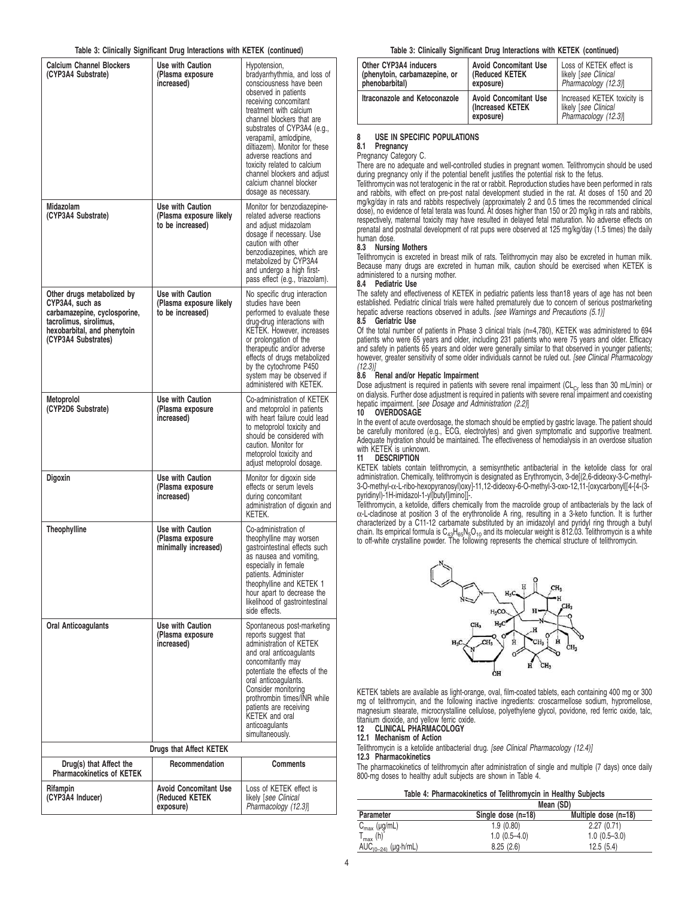#### **Table 3: Clinically Significant Drug Interactions with KETEK (continued)**

| or omnovný organi                                                                                                                                             |                                                                 |                                                                                                                                                                                                                                                                                                                                                                                                                     |
|---------------------------------------------------------------------------------------------------------------------------------------------------------------|-----------------------------------------------------------------|---------------------------------------------------------------------------------------------------------------------------------------------------------------------------------------------------------------------------------------------------------------------------------------------------------------------------------------------------------------------------------------------------------------------|
| <b>Calcium Channel Blockers</b><br>(CYP3A4 Substrate)                                                                                                         | Use with Caution<br>(Plasma exposure<br>increased)              | Hypotension,<br>bradyarrhythmia, and loss of<br>consciousness have been<br>observed in patients<br>receiving concomitant<br>treatment with calcium<br>channel blockers that are<br>substrates of CYP3A4 (e.g.,<br>verapamil, amlodipine,<br>diltiazem). Monitor for these<br>adverse reactions and<br>toxicity related to calcium<br>channel blockers and adjust<br>calcium channel blocker<br>dosage as necessary. |
| Midazolam<br>(CYP3A4 Substrate)                                                                                                                               | Use with Caution<br>(Plasma exposure likely<br>to be increased) | Monitor for benzodiazepine-<br>related adverse reactions<br>and adjust midazolam<br>dosage if necessary. Use<br>caution with other<br>benzodiazepines, which are<br>metabolized by CYP3A4<br>and undergo a high first-<br>pass effect (e.g., triazolam).                                                                                                                                                            |
| Other drugs metabolized by<br>CYP3A4, such as<br>carbamazepine, cyclosporine,<br>tacrolimus, sirolimus,<br>hexobarbital, and phenytoin<br>(CYP3A4 Substrates) | Use with Caution<br>(Plasma exposure likely<br>to be increased) | No specific drug interaction<br>studies have been<br>performed to evaluate these<br>drug-drug interactions with<br>KETEK. However, increases<br>or prolongation of the<br>therapeutic and/or adverse<br>effects of drugs metabolized<br>by the cytochrome P450<br>system may be observed if<br>administered with KETEK.                                                                                             |
| Metoprolol<br>(CYP2D6 Substrate)                                                                                                                              | Use with Caution<br>(Plasma exposure<br>increased)              | Co-administration of KETEK<br>and metoprolol in patients<br>with heart failure could lead<br>to metoprolol toxicity and<br>should be considered with<br>caution. Monitor for<br>metoprolol toxicity and<br>adjust metoprolol dosage.                                                                                                                                                                                |
| Digoxin                                                                                                                                                       | Use with Caution<br>(Plasma exposure<br>increased)              | Monitor for digoxin side<br>effects or serum levels<br>during concomitant<br>administration of digoxin and<br>KETEK.                                                                                                                                                                                                                                                                                                |
| <b>Theophylline</b>                                                                                                                                           | Use with Caution<br>(Plasma exposure<br>minimally increased)    | Co-administration of<br>theophylline may worsen<br>gastrointestinal effects such<br>as nausea and vomiting.<br>especially in female<br>patients. Administer<br>theophylline and KETEK 1<br>hour apart to decrease the<br>likelihood of gastrointestinal<br>side effects.                                                                                                                                            |
| Oral Anticoagulants                                                                                                                                           | Use with Caution<br>(Plasma exposure<br>increased)              | Spontaneous post-marketing<br>reports suggest that<br>administration of KETEK<br>and oral anticoagulants<br>concomitantly may<br>potentiate the effects of the<br>oral anticoagulants.<br>Consider monitoring<br>prothrombin times/INR while<br>patients are receiving<br>KETEK and oral<br>anticoagulants<br>simultaneously.                                                                                       |
|                                                                                                                                                               | Drugs that Affect KETEK                                         |                                                                                                                                                                                                                                                                                                                                                                                                                     |
| Drug(s) that Affect the<br><b>Pharmacokinetics of KETEK</b>                                                                                                   | Recommendation                                                  | Comments                                                                                                                                                                                                                                                                                                                                                                                                            |
| Rifampin<br>(CYP3A4 Inducer)                                                                                                                                  | Avoid Concomitant Use<br>(Reduced KETEK<br>exposure)            | Loss of KETEK effect is<br>likely [see Clinical<br>Pharmacology (12.3)]                                                                                                                                                                                                                                                                                                                                             |

#### **Table 3: Clinically Significant Drug Interactions with KETEK (continued)**

| Other CYP3A4 inducers         | <b>Avoid Concomitant Use</b>                                  | Loss of KETEK effect is                                                    |
|-------------------------------|---------------------------------------------------------------|----------------------------------------------------------------------------|
| (phenytoin, carbamazepine, or | (Reduced KETEK                                                | likely [see Clinical                                                       |
| phenobarbital)                | exposure)                                                     | Pharmacology (12.3)                                                        |
| Itraconazole and Ketoconazole | <b>Avoid Concomitant Use</b><br>(Increased KETEK<br>exposure) | Increased KETEK toxicity is<br>likely [see Clinical<br>Pharmacology (12.3) |

#### **8 USE IN SPECIFIC POPULATIONS**

**8.1 Pregnancy**

Pregnancy Category C.

There are no adequate and well-controlled studies in pregnant women. Telithromycin should be used during pregnancy only if the potential benefit justifies the potential risk to the fetus.

Telithromycin was not teratogenic in the rat or rabbit. Reproduction studies have been performed in rats and rabbits, with effect on pre-post natal development studied in the rat. At doses of 150 and 20 mg/kg/day in rats and rabbits respectively (approximately 2 and 0.5 times the recommended clinical dose), no evidence of fetal terata was found. At doses higher than 150 or 20 mg/kg in rats and rabbits, respectively, maternal toxicity may have resulted in delayed fetal maturation. No adverse effects on prenatal and postnatal development of rat pups were observed at 125 mg/kg/day (1.5 times) the daily human dose.

#### **8.3 Nursing Mothers**

Telithromycin is excreted in breast milk of rats. Telithromycin may also be excreted in human milk. Because many drugs are excreted in human milk, caution should be exercised when KETEK is administered to a nursing mother.

#### **8.4 Pediatric Use**

The safety and effectiveness of KETEK in pediatric patients less than18 years of age has not been established. Pediatric clinical trials were halted prematurely due to concern of serious postmarketing hepatic adverse reactions observed in adults. [see Warnings and Precautions (5.1)]

#### **8.5 Geriatric Use**

Of the total number of patients in Phase 3 clinical trials (n=4,780), KETEK was administered to 694 patients who were 65 years and older, including 231 patients who were 75 years and older. Efficacy and safety in patients 65 years and older were generally similar to that observed in younger patients;<br>however, greater sensitivity of some older individuals cannot be ruled out. *[see Clinical Pharmacology* (12.3)]

# **8.6 Renal and/or Hepatic Impairment**

Dose adjustment is required in patients with severe renal impairment ( $CL<sub>Cr</sub>$  less than 30 mL/min) or on dialysis. Further dose adjustment is required in patients with severe renal impairment and coexisting hepatic impairment. [see Dosage and Administration (2.2)]

#### **10 OVERDOSAGE**

In the event of acute overdosage, the stomach should be emptied by gastric lavage. The patient should<br>be carefully monitored (e.g., ECG, electrolytes) and given symptomatic and supportive treatment.<br>Adequate hyd with KETEK is unknown.

#### **11 DESCRIPTION**

KETEK tablets contain telithromycin, a semisynthetic antibacterial in the ketolide class for oral administration. Chemically, telithromycin is designated as Erythromycin, 3-de[(2,6-dideoxy-3-C-methyl-<br>3-O-methyl-α-L-ribo-hexopyranosyl)oxy]-11,12-dideoxy-6-O-methyl-3-oxo-12,11-[oxycarbonyl[[4-[4-(3pyridinyl)-1H-imidazol-1-yl]butyl]imino]]-

Telithromycin, a ketolide, differs chemically from the macrolide group of antibacterials by the lack of α-L-cladinose at position 3 of the erythronolide A ring, resulting in a 3-keto function. It is further characterized by a C11-12 carbamate substituted by an imidazolyl and pyridyl ring through a butyl chain. Its empirical formula is  $C_{43}H_{65}N_5O_{10}$  and its molecular weight is 812.03. Telithromycin is a white to off-white crystalline powder. The following represents the chemical structure of telithromycin.



KETEK tablets are available as light-orange, oval, film-coated tablets, each containing 400 mg or 300 mg of telithromycin, and the following inactive ingredients: croscarmellose sodium, hypromellose, magnesium stearate, microcrystalline cellulose, polyethylene glycol, povidone, red ferric oxide, talc, titanium dioxide, and yellow ferric oxide. **12 CLINICAL PHARMACOLOGY**

**12.1 Mechanism of Action**

Telithromycin is a ketolide antibacterial drug. [see Clinical Pharmacology (12.4)]

#### **12.3 Pharmacokinetics**

The pharmacokinetics of telithromycin after administration of single and multiple (7 days) once daily 800-mg doses to healthy adult subjects are shown in Table 4.

#### **Table 4: Pharmacokinetics of Telithromycin in Healthy Subjects**

|                          |                                            | Mean (SD)      |  |  |  |
|--------------------------|--------------------------------------------|----------------|--|--|--|
| Parameter                | Single dose (n=18)<br>Multiple dose (n=18) |                |  |  |  |
| $C_{\text{max}}$ (µg/mL) | 1.9(0.80)                                  | 2.27(0.71)     |  |  |  |
| $\mathbf{r}_{\max}$ (h)  | $1.0(0.5-4.0)$                             | $1.0(0.5-3.0)$ |  |  |  |
| $AUC_{(0-24)}$ (µg-h/mL) | 8.25(2.6)                                  | 12.5(5.4)      |  |  |  |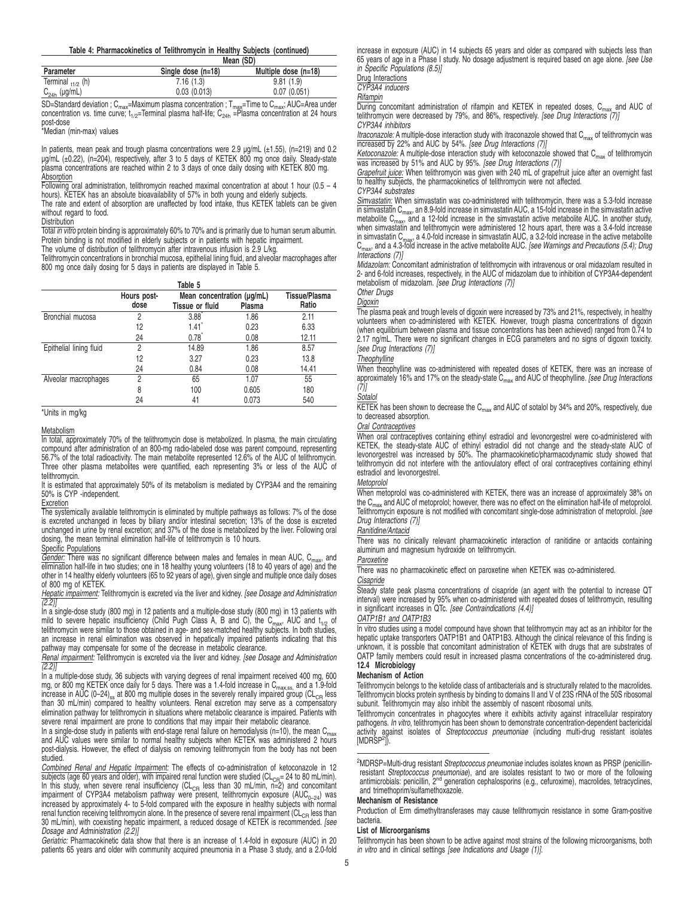#### **Table 4: Pharmacokinetics of Telithromycin in Healthy Subjects (continued)**

|                        |                                            | Mean (SD)   |  |  |  |
|------------------------|--------------------------------------------|-------------|--|--|--|
| Parameter              | Single dose (n=18)<br>Multiple dose (n=18) |             |  |  |  |
| Terminal $_{11/2}$ (h) | 7.16(1.3)                                  | 9.81(1.9)   |  |  |  |
| $C_{24h}$ (µg/mL)      | 0.03(0.013)                                | 0.07(0.051) |  |  |  |

SD=Standard deviation ; C<sub>max</sub>=Maximum plasma concentration ; T<sub>max</sub>=Time to C<sub>max</sub>; AUC=Area under<br>concentration vs. time curve; t<sub>1/2</sub>=Terminal plasma half-life; C<sub>24h</sub> =Plasma concentration at 24 hours post-dose \*Median (min-max) values

In patients, mean peak and trough plasma concentrations were 2.9 µg/mL (±1.55), (n=219) and 0.2 ug/mL (±0.22), (n=204), respectively, after 3 to 5 days of KETEK 800 mg once daily. Steady-state plasma concentrations are reached within 2 to 3 days of once daily dosing with KETEK 800 mg. **Absorption** 

Following oral administration, telithromycin reached maximal concentration at about 1 hour (0.5 – 4 hours). KETEK has an absolute bioavailability of 57% in both young and elderly subjects.

The rate and extent of absorption are unaffected by food intake, thus KETEK tablets can be given without regard to food. **Distribution** 

**Total in vitro protein binding is approximately 60% to 70% and is primarily due to human serum albumin.** Protein binding is not modified in elderly subjects or in patients with hepatic impairment.

The volume of distribution of telithromycin after intravenous infusion is 2.9 L/kg. Telithromycin concentrations in bronchial mucosa, epithelial lining fluid, and alveolar macrophages after 800 mg once daily dosing for 5 days in patients are displayed in Table 5.

|                         |                     | Table 5                                                 |       |                        |
|-------------------------|---------------------|---------------------------------------------------------|-------|------------------------|
|                         | Hours post-<br>dose | Mean concentration (µg/mL)<br>Tissue or fluid<br>Plasma |       | Tissue/Plasma<br>Ratio |
| Bronchial mucosa        | 2                   | 3.88                                                    | 1.86  | 2.11                   |
|                         | 12                  | 1.41                                                    | 0.23  | 6.33                   |
|                         | 24                  | 0.78                                                    | 0.08  | 12.11                  |
| Epithelial lining fluid | 2                   | 14.89                                                   | 1.86  | 8.57                   |
|                         | 12                  | 3.27                                                    | 0.23  | 13.8                   |
|                         | 24                  | 0.84                                                    | 0.08  | 14.41                  |
| Alveolar macrophages    | っ                   | 65                                                      | 1.07  | 55                     |
|                         | 8                   | 100                                                     | 0.605 | 180                    |
|                         | 24                  | 41                                                      | 0.073 | 540                    |

\*Units in mg/kg

#### **Metabolism**

In total, approximately 70% of the telithromycin dose is metabolized. In plasma, the main circulating compound after administration of an 800-mg radio-labeled dose was parent compound, representing 56.7% of the total radioactivity. The main metabolite represented 12.6% of the AUC of telithromycin. Three other plasma metabolites were quantified, each representing 3% or less of the AUC of telithromycin.

It is estimated that approximately 50% of its metabolism is mediated by CYP3A4 and the remaining 50% is CYP -independent.

Excretion The systemically available telithromycin is eliminated by multiple pathways as follows: 7% of the dose is excreted unchanged in feces by biliary and/or intestinal secretion; 13% of the dose is excreted unchanged in urine by renal excretion; and 37% of the dose is metabolized by the liver. Following oral

dosing, the mean terminal elimination half-life of telithromycin is 10 hours. Specific Populations

Gender: There was no significant difference between males and females in mean AUC, C<sub>max</sub>, and elimination half-life in two studies; one in 18 healthy young volunteers (18 to 40 years of age) and the other in 14 healthy elderly volunteers (65 to 92 years of age), given single and multiple once daily doses

of 800 mg of KETEK.<br>*Hepatic impairment:* Telithromycin is excreted via the liver and kidney. [see Dosage and Administration<br>(2.2)]

In a single-dose study (800 mg) in 12 patients and a multiple-dose study (800 mg) in 13 patients with<br>mild to severe hepatic insufficiency (Child Pugh Class A, B and C), the C<sub>max</sub>, AUC and t<sub>1/2</sub> of<br>telithromycin were sim an increase in renal elimination was observed in hepatically impaired patients indicating that this pathway may compensate for some of the decrease in metabolic clearance.

Renal impairment: Telithromycin is excreted via the liver and kidney. [see Dosage and Administration  $(2.2)$ ]

In a multiple-dose study, 36 subjects with varying degrees of renal impairment received 400 mg, 600 mg, or 800 mg KETEK once daily for 5 days. There was a 1.4-fold increase in  $C_{\text{max,SS}}$  and a 1.9-fold increase in AUC (0–24)<sub>ss</sub> at 800 mg multiple doses in the severely renally impaired group (CL<sub>CB</sub> less than 30 mL/min) compared to healthy volunteers. Renal excretion may serve as a compensatory elimination pathway for telithromycin in situations where metabolic clearance is impaired. Patients with severe renal impairment are prone to conditions that may impair their metabolic clearance.

In a single-dose study in patients with end-stage renal failure on hemodialysis (n=10), the mean C<sub>max</sub><br>and AUC values were similar to normal healthy subjects when KETEK was administered 2 hours post-dialysis. However, the effect of dialysis on removing telithromycin from the body has not been studied.

Combined Renal and Hepatic Impairment: The effects of co-administration of ketoconazole in 12 subjects (age 60 years and older), with impaired renal function were studied ( $CL_{CR}$ = 24 to 80 mL/min). In this study, when severe renal insufficiency (CL<sub>CR</sub> less than 30 mL/min,  $n=2$ ) and concomitant impairment of CYP3A4 metabolism pathway were present, telithromycin exposure (AUC<sub>0–24</sub>) was increased by approximately 4- to 5-fold compared with the exposure in healthy subjects with normal renal function receiving telithromycin alone. In the presence of severe renal impairment (CL<sub>CR</sub> less than 30 mL/min), with coexisting hepatic impairment, a reduced dosage of KETEK is recommended. [see Dosage and Administration (2.2)]

Geriatric: Pharmacokinetic data show that there is an increase of 1.4-fold in exposure (AUC) in 20 patients 65 years and older with community acquired pneumonia in a Phase 3 study, and a 2.0-fold increase in exposure (AUC) in 14 subjects 65 years and older as compared with subjects less than 65 years of age in a Phase I study. No dosage adjustment is required based on age alone. [see Use in Specific Populations (8.5)]

Drug Interactions

CYP3A4 inducers

Rifampin

 $\overline{During}$  concomitant administration of rifampin and KETEK in repeated doses,  $C_{max}$  and AUC of telithromycin were decreased by 79%, and 86%, respectively. [see Drug Interactions (7)] CYP3A4 inhibitors

Itraconazole: A multiple-dose interaction study with itraconazole showed that  $C_{\text{max}}$  of telithromycin was increased by 22% and AUC by 54%. [see Drug Interactions (7)]

Ketoconazole: A multiple-dose interaction study with ketoconazole showed that  $C<sub>max</sub>$  of telithromycin was increased by 51% and AUC by 95%. [see Drug Interactions (7)]

Grapefruit juice: When telithromycin was given with 240 mL of grapefruit juice after an overnight fast to healthy subjects, the pharmacokinetics of telithromycin were not affected. CYP3A4 substrates

Simvastatin: When simvastatin was co-administered with telithromycin, there was a 5.3-fold increase in simvastatin C<sub>max</sub>, an 8.9-fold increase in simvastatin AUC, a 15-fold increase in the simvastatin active<br>metabolite C<sub>max</sub>, and a 12-fold increase in the simvastatin active metabolite AUC. In another study, when simvastatin and telithromycin were administered 12 hours apart, there was a 3.4-fold increase in simvastatin C<sub>max</sub>, a 4.0-fold increase in simvastatin AUC, a 3.2-fold increase in the active metabolite<br>C<sub>max</sub>, and a 4.3-fold increase in the active metabolite AUC. *[see Warnings and Precautions (5.4); Drug*<br>*Interac* 

Midazolam: Concomitant administration of telithromycin with intravenous or oral midazolam resulted in 2- and 6-fold increases, respectively, in the AUC of midazolam due to inhibition of CYP3A4-dependent metabolism of midazolam. [see Drug Interactions (7)]

Other Drugs

#### Digoxin

The plasma peak and trough levels of digoxin were increased by 73% and 21%, respectively, in healthy volunteers when co-administered with KETEK. However, trough plasma concentrations of digoxin (when equilibrium between plasma and tissue concentrations has been achieved) ranged from 0.74 to 2.17 ng/mL. There were no significant changes in ECG parameters and no signs of digoxin toxicity. [see Drug Interactions (7)]

#### **Theophylline**

When theophylline was co-administered with repeated doses of KETEK, there was an increase of approximately 16% and 17% on the steady-state C<sub>max</sub> and AUC of theophylline. [see Drug Interactions  $(7)$ ]

#### **Sotalol**

KETEK has been shown to decrease the  $C_{\text{max}}$  and AUC of sotalol by 34% and 20%, respectively, due to decreased absorption.

#### Oral Contraceptives

When oral contraceptives containing ethinyl estradiol and levonorgestrel were co-administered with KETEK, the steady-state AUC of ethinyl estradiol did not change and the steady-state AUC of levonorgestrel was increased by 50%. The pharmacokinetic/pharmacodynamic study showed that telithromycin did not interfere with the antiovulatory effect of oral contraceptives containing ethinyl estradiol and levonorgestrel.

#### Metoprolol

When metoprolol was co-administered with KETEK, there was an increase of approximately 38% on the  $C_{\text{max}}$  and AUC of metoprolol; however, there was no effect on the elimination half-life of metoprolol. Telithromycin exposure is not modified with concomitant single-dose administration of metoprolol. [see Drug Interactions (7)]

#### Ranitidine/Antacid

There was no clinically relevant pharmacokinetic interaction of ranitidine or antacids containing aluminum and magnesium hydroxide on telithromycin.

#### Paroxetine

There was no pharmacokinetic effect on paroxetine when KETEK was co-administered.

#### **Cisapride**

Steady state peak plasma concentrations of cisapride (an agent with the potential to increase QT interval) were increased by 95% when co-administered with repeated doses of telithromycin, resulting<br>in significant increases in QTc. *[see Contraindications (4.4)]* 

#### OATP1B1 and OATP1B3

In vitro studies using a model compound have shown that telithromycin may act as an inhibitor for the hepatic uptake transporters OATP1B1 and OATP1B3. Although the clinical relevance of this finding is unknown, it is possible that concomitant administration of KETEK with drugs that are substrates of OATP family members could result in increased plasma concentrations of the co-administered drug. **12.4 Microbiology**

#### **Mechanism of Action**

Telithromycin belongs to the ketolide class of antibacterials and is structurally related to the macrolides. Telithromycin blocks protein synthesis by binding to domains II and V of 23S rRNA of the 50S ribosomal subunit. Telithromycin may also inhibit the assembly of nascent ribosomal units.

Telithromycin concentrates in phagocytes where it exhibits activity against intracellular respiratory pathogens. In vitro, telithromycin has been shown to demonstrate concentration-dependent bactericidal activity against isolates of *Streptococcus pneumoniae* (including multi-drug resistant isolates<br>[MDRSP<sup>2</sup>]).

<sup>2</sup>MDRSP=Multi-drug resistant Streptococcus pneumoniae includes isolates known as PRSP (penicillinresistant *Streptococcus pneumoniae*), and are isolates resistant to two or more of the following<br>antimicrobials: penicillin, 2<sup>nd</sup> generation cephalosporins (e.g., cefuroxime), macrolides, tetracyclines, and trimethoprim/sulfamethoxazole.

#### **Mechanism of Resistance**

Production of Erm dimethyltransferases may cause telithromycin resistance in some Gram-positive bacteria.

### **List of Microorganisms**

Telithromycin has been shown to be active against most strains of the following microorganisms, both in vitro and in clinical settings [see Indications and Usage (1)].

5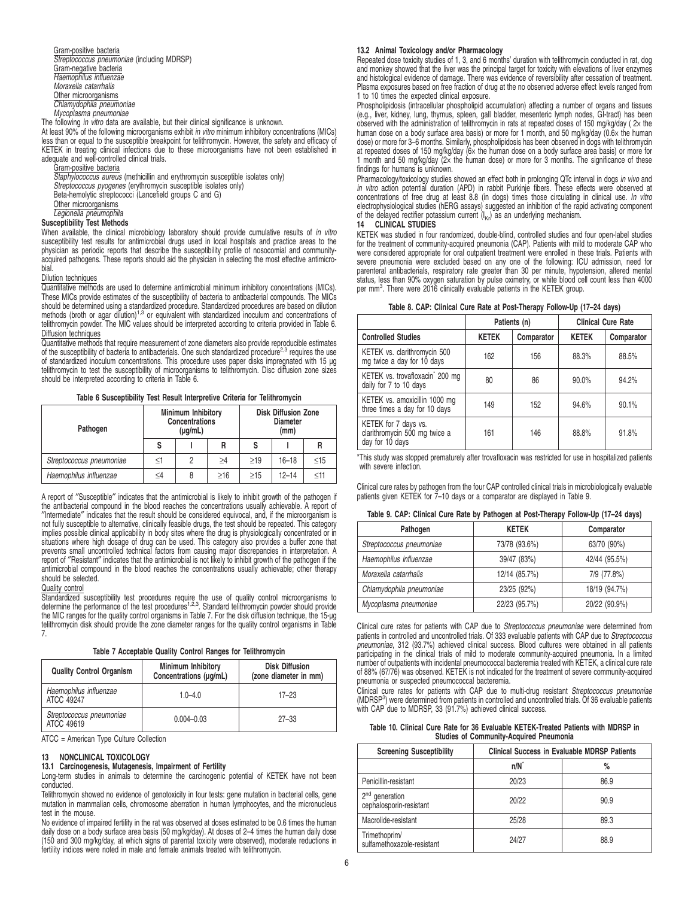Gram-positive bacteria Streptococcus pneumoniae (including MDRSP) Gram-negative bacteria Haemophilus influenzae Moraxella catarrhalis Other microorganisms Chlamydophila pneumoniae Mycoplasma pneumoniae

The following in vitro data are available, but their clinical significance is unknown.

At least 90% of the following microorganisms exhibit in vitro minimum inhibitory concentrations (MICs) less than or equal to the susceptible breakpoint for telithromycin. However, the safety and efficacy of KETEK in treating clinical infections due to these microorganisms have not been established in adequate and well-controlled clinical trials.

Gram-positive bacteria

Staphylococcus aureus (methicillin and erythromycin susceptible isolates only)<br>Streptococcus pyogenes (erythromycin susceptible isolates only)

- 
- Beta-hemolytic streptococci (Lancefield groups C and G)
- Other microorganisms

# Legionella pneumophila

### **Susceptibility Test Methods**

When available, the clinical microbiology laboratory should provide cumulative results of in vitro susceptibility test results for antimicrobial drugs used in local hospitals and practice areas to the physician as periodic reports that describe the susceptibility profile of nosocomial and communityacquired pathogens. These reports should aid the physician in selecting the most effective antimicrobial.

#### Dilution techniques

Quantitative methods are used to determine antimicrobial minimum inhibitory concentrations (MICs). These MICs provide estimates of the susceptibility of bacteria to antibacterial compounds. The MICs should be determined using a standardized procedure. Standardized procedures are based on dilution methods (broth or agar dilution)<sup>1,3</sup> or equivalent with standardized inoculum and concentrations of telithromycin powder. The MIC values should be interpreted according to criteria provided in Table 6. Diffusion techniques

Quantitative methods that require measurement of zone diameters also provide reproducible estimates<br>of the susceptibility of bacteria to antibacterials. One such standardized procedure<sup>2,3</sup> requires the use of standardized inoculum concentrations. This procedure uses paper disks impregnated with 15 µg telithromycin to test the susceptibility of microorganisms to telithromycin. Disc diffusion zone sizes should be interpreted according to criteria in Table 6.

**Table 6 Susceptibility Test Result Interpretive Criteria for Telithromycin**

| Pathogen                 | <b>Minimum Inhibitory</b><br><b>Concentrations</b><br>$(\mu g/mL)$ |   |           | <b>Disk Diffusion Zone</b><br><b>Diameter</b><br>(mm) |           |           |
|--------------------------|--------------------------------------------------------------------|---|-----------|-------------------------------------------------------|-----------|-----------|
|                          | s                                                                  |   | R         |                                                       |           | R         |
| Streptococcus pneumoniae | ≤1                                                                 | 2 | >4        | >19                                                   | $16 - 18$ | $\leq$ 15 |
| Haemophilus influenzae   | ≤4                                                                 | 8 | $\geq 16$ | >15                                                   | $12 - 14$ | $<$ 11    |

A report of ″Susceptible″ indicates that the antimicrobial is likely to inhibit growth of the pathogen if the antibacterial compound in the blood reaches the concentrations usually achievable. A report of ″Intermediate″ indicates that the result should be considered equivocal, and, if the microorganism is not fully susceptible to alternative, clinically feasible drugs, the test should be repeated. This category implies possible clinical applicability in body sites where the drug is physiologically concentrated or in situations where high dosage of drug can be used. This category also provides a buffer zone that prevents small uncontrolled technical factors from causing major discrepancies in interpretation. A report of ″Resistant″ indicates that the antimicrobial is not likely to inhibit growth of the pathogen if the antimicrobial compound in the blood reaches the concentrations usually achievable; other therapy should be selected.

#### Quality control

Standardized susceptibility test procedures require the use of quality control microorganisms to<br>determine the performance of the test procedures<sup>1,2,3</sup>. Standard telithromycin powder should provide the MIC ranges for the quality control organisms in Table 7. For the disk diffusion technique, the 15-µg telithromycin disk should provide the zone diameter ranges for the quality control organisms in Table 7.

**Table 7 Acceptable Quality Control Ranges for Telithromycin**

| <b>Quality Control Organism</b>        | <b>Minimum Inhibitory</b><br>Concentrations (µq/mL) | <b>Disk Diffusion</b><br>(zone diameter in mm) |
|----------------------------------------|-----------------------------------------------------|------------------------------------------------|
| Haemophilus influenzae<br>ATCC 49247   | $1.0 - 4.0$                                         | $17 - 23$                                      |
| Streptococcus pneumoniae<br>ATCC 49619 | $0.004 - 0.03$                                      | $27 - 33$                                      |

ATCC = American Type Culture Collection

#### **13 NONCLINICAL TOXICOLOGY**

**13.1 Carcinogenesis, Mutagenesis, Impairment of Fertility** Long-term studies in animals to determine the carcinogenic potential of KETEK have not been conducted.

Telithromycin showed no evidence of genotoxicity in four tests: gene mutation in bacterial cells, gene mutation in mammalian cells, chromosome aberration in human lymphocytes, and the micronucleus test in the mouse.

No evidence of impaired fertility in the rat was observed at doses estimated to be 0.6 times the human daily dose on a body surface area basis (50 mg/kg/day). At doses of 2–4 times the human daily dose (150 and 300 mg/kg/day, at which signs of parental toxicity were observed), moderate reductions in fertility indices were noted in male and female animals treated with telithromycin.

# **13.2 Animal Toxicology and/or Pharmacology**

Repeated dose toxicity studies of 1, 3, and 6 months' duration with telithromycin conducted in rat, dog and monkey showed that the liver was the principal target for toxicity with elevations of liver enzymes and histological evidence of damage. There was evidence of reversibility after cessation of treatment. Plasma exposures based on free fraction of drug at the no observed adverse effect levels ranged from 1 to 10 times the expected clinical exposure.

Phospholipidosis (intracellular phospholipid accumulation) affecting a number of organs and tissues (e.g., liver, kidney, lung, thymus, spleen, gall bladder, mesenteric lymph nodes, GI-tract) has been observed with the administration of telithromycin in rats at repeated doses of 150 mg/kg/day ( 2× the human dose on a body surface area basis) or more for 1 month, and 50 mg/kg/day (0.6× the human dose) or more for 3–6 months. Similarly, phospholipidosis has been observed in dogs with telithromycin at repeated doses of 150 mg/kg/day (6× the human dose on a body surface area basis) or more for 1 month and 50 mg/kg/day (2× the human dose) or more for 3 months. The significance of these findings for humans is unknown.

Pharmacology/toxicology studies showed an effect both in prolonging QTc interval in dogs in vivo and in vitro action potential duration (APD) in rabbit Purkinje fibers. These effects were observed at concentrations of free drug at least 8.8 (in dogs) times those circulating in clinical use. In vitro electrophysiological studies (hERG assays) suggested an inhibition of the rapid activating component of the delayed rectifier potassium current  $(I_{Kr})$  as an underlying mechanism.

### **14 CLINICAL STUDIES**

KETEK was studied in four randomized, double-blind, controlled studies and four open-label studies for the treatment of community-acquired pneumonia (CAP). Patients with mild to moderate CAP who were considered appropriate for oral outpatient treatment were enrolled in these trials. Patients with<br>severe pneumonia were excluded based on any one of the following: ICU admission, need for<br>parenteral antibacterials, re status, less than 90% oxygen saturation by pulse oximetry, or white blood cell count less than 4000<br>per mm<sup>3</sup>. There were 2016 clinically evaluable patients in the KETEK group.

| Table 8. CAP: Clinical Cure Rate at Post-Therapy Follow-Up (17-24 days) |  |  |  |
|-------------------------------------------------------------------------|--|--|--|
|-------------------------------------------------------------------------|--|--|--|

|                                                                          | Patients (n) |            | <b>Clinical Cure Rate</b> |            |
|--------------------------------------------------------------------------|--------------|------------|---------------------------|------------|
| <b>Controlled Studies</b>                                                | <b>KETEK</b> | Comparator | <b>KETEK</b>              | Comparator |
| KETEK vs. clarithromycin 500<br>mg twice a day for 10 days               | 162          | 156        | 88.3%                     | 88.5%      |
| KETEK vs. trovafloxacin <sup>*</sup> 200 mg<br>daily for 7 to 10 days    | 80           | 86         | 90.0%                     | 94.2%      |
| KETEK vs. amoxicillin 1000 mg<br>three times a day for 10 days           | 149          | 152        | 94.6%                     | 90.1%      |
| KETEK for 7 days vs.<br>clarithromycin 500 mg twice a<br>day for 10 days | 161          | 146        | 88.8%                     | 91.8%      |

\*This study was stopped prematurely after trovafloxacin was restricted for use in hospitalized patients with severe infection.

Clinical cure rates by pathogen from the four CAP controlled clinical trials in microbiologically evaluable patients given KETEK for 7–10 days or a comparator are displayed in Table 9.

|  |  | Table 9. CAP: Clinical Cure Rate by Pathogen at Post-Therapy Follow-Up (17-24 days) |  |
|--|--|-------------------------------------------------------------------------------------|--|
|--|--|-------------------------------------------------------------------------------------|--|

| Pathogen                 | <b>KETEK</b>  | Comparator    |
|--------------------------|---------------|---------------|
| Streptococcus pneumoniae | 73/78 (93.6%) | 63/70 (90%)   |
| Haemophilus influenzae   | 39/47 (83%)   | 42/44 (95.5%) |
| Moraxella catarrhalis    | 12/14 (85.7%) | 7/9 (77.8%)   |
| Chlamydophila pneumoniae | 23/25 (92%)   | 18/19 (94.7%) |
| Mycoplasma pneumoniae    | 22/23 (95.7%) | 20/22 (90.9%) |

Clinical cure rates for patients with CAP due to *Streptococcus pneumoniae* were determined from<br>patients in controlled and uncontrolled trials. Of 333 evaluable patients with CAP due to *Streptococcus* pneumoniae, 312 (93.7%) achieved clinical success. Blood cultures were obtained in all patients<br>participating in the clinical trials of mild to moderate community-acquired pneumonia. In a limited number of outpatients with incidental pneumococcal bacteremia treated with KETEK, a clinical cure rate of 88% (67/76) was observed. KETEK is not indicated for the treatment of severe community-acquired pneumonia or suspected pneumococcal bacteremia.

Clinical cure rates for patients with CAP due to multi-drug resistant Streptococcus pneumoniae (MDRSP<sup>3</sup>) were determined from patients in controlled and uncontrolled trials. Of 36 evaluable patients with CAP due to MDRSP, 33 (91.7%) achieved clinical success.

| Table 10. Clinical Cure Rate for 36 Evaluable KETEK-Treated Patients with MDRSP in |  |
|------------------------------------------------------------------------------------|--|
| <b>Studies of Community-Acquired Pneumonia</b>                                     |  |

| <b>Screening Susceptibility</b>             | <b>Clinical Success in Evaluable MDRSP Patients</b> |      |  |
|---------------------------------------------|-----------------------------------------------------|------|--|
|                                             | n/N                                                 | $\%$ |  |
| Penicillin-resistant                        | 20/23                                               | 86.9 |  |
| $2nd$ generation<br>cephalosporin-resistant | 20/22                                               | 90.9 |  |
| Macrolide-resistant                         | 25/28                                               | 89.3 |  |
| Trimethoprim/<br>sulfamethoxazole-resistant | 24/27                                               | 88.9 |  |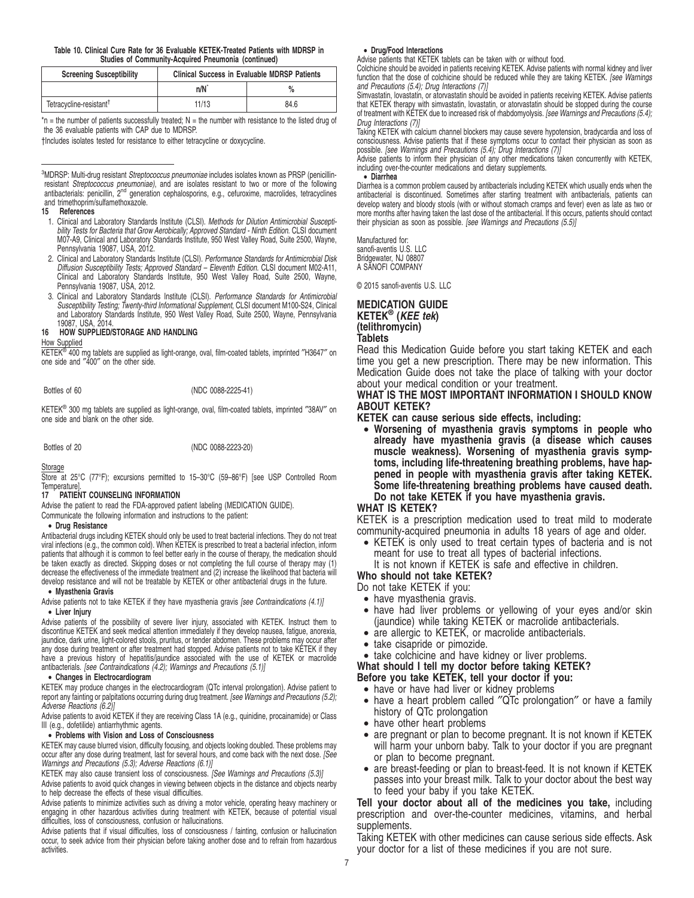#### **Table 10. Clinical Cure Rate for 36 Evaluable KETEK-Treated Patients with MDRSP in Studies of Community-Acquired Pneumonia (continued)**

| <b>Screening Susceptibility</b>     | <b>Clinical Success in Evaluable MDRSP Patients</b> |      |  |
|-------------------------------------|-----------------------------------------------------|------|--|
|                                     | n/N <sup>*</sup>                                    |      |  |
| Tetracycline-resistant <sup>†</sup> | 11/13                                               | 84.6 |  |

 $n =$  the number of patients successfully treated; N = the number with resistance to the listed drug of the 36 evaluable patients with CAP due to MDRSP.

†Includes isolates tested for resistance to either tetracycline or doxycycline.

<sup>3</sup>MDRSP: Multi-drug resistant Streptococcus pneumoniae includes isolates known as PRSP (penicillinresistant *Streptococcus pneumoniae)*, and are isolates resistant to two or more of the following<br>antibacterials: penicillin, 2<sup>nd</sup> generation cephalosporins, e.g., cefuroxime, macrolides, tetracyclines and trimethoprim/sulfamethoxazole.

#### **15 References**

- 1. Clinical and Laboratory Standards Institute (CLSI). Methods for Dilution Antimicrobial Susceptibility Tests for Bacteria that Grow Aerobically; Approved Standard - Ninth Edition. CLSI document M07-A9, Clinical and Laboratory Standards Institute, 950 West Valley Road, Suite 2500, Wayne, Pennsylvania 19087, USA, 2012.
- 2. Clinical and Laboratory Standards Institute (CLSI). Performance Standards for Antimicrobial Disk Diffusion Susceptibility Tests; Approved Standard – Eleventh Edition. CLSI document M02-A11, Clinical and Laboratory Standards Institute, 950 West Valley Road, Suite 2500, Wayne, Pennsylvania 19087, USA, 2012.
- 3. Clinical and Laboratory Standards Institute (CLSI). Performance Standards for Antimicrobial Susceptibility Testing; Twenty-third Informational Supplement, CLSI document M100-S24, Clinical and Laboratory Standards Institute, 950 West Valley Road, Suite 2500, Wayne, Pennsylvania 19087, USA, 2014.

#### **16 HOW SUPPLIED/STORAGE AND HANDLING**

#### How Supplied

KETEK®  $^{9}$  400 mg tablets are supplied as light-orange, oval, film-coated tablets, imprinted "H3647" on one side and ″400″ on the other side.

Bottles of 60 (NDC 0088-2225-41)

KETEK<sup>®</sup> 300 mg tablets are supplied as light-orange, oval, film-coated tablets, imprinted "38AV" on one side and blank on the other side.

Bottles of 20 (NDC 0088-2223-20)

**Storage** 

Store at 25°C (77°F); excursions permitted to 15–30°C (59–86°F) [see USP Controlled Room Temperature].

#### **17 PATIENT COUNSELING INFORMATION**

Advise the patient to read the FDA-approved patient labeling (MEDICATION GUIDE).

Communicate the following information and instructions to the patient:

#### • **Drug Resistance**

Antibacterial drugs including KETEK should only be used to treat bacterial infections. They do not treat viral infections (e.g., the common cold). When KETEK is prescribed to treat a bacterial infection, inform patients that although it is common to feel better early in the course of therapy, the medication should be taken exactly as directed. Skipping doses or not completing the full course of therapy may (1) decrease the effectiveness of the immediate treatment and (2) increase the likelihood that bacteria will develop resistance and will not be treatable by KETEK or other antibacterial drugs in the future.

#### • **Myasthenia Gravis**

Advise patients not to take KETEK if they have myasthenia gravis [see Contraindications (4.1)]

# • **Liver Injury**

Advise patients of the possibility of severe liver injury, associated with KETEK. Instruct them to discontinue KETEK and seek medical attention immediately if they develop nausea, fatigue, anorexia, jaundice, dark urine, light-colored stools, pruritus, or tender abdomen. These problems may occur after any dose during treatment or after treatment had stopped. Advise patients not to take KETEK if they have a previous history of hepatitis/jaundice associated with the use of KETEK or macrolide antibacterials. [see Contraindications (4.2); Warnings and Precautions (5.1)]

#### • **Changes in Electrocardiogram**

KETEK may produce changes in the electrocardiogram (QTc interval prolongation). Advise patient to report any fainting or palpitations occurring during drug treatment. [see Warnings and Precautions (5.2); Adverse Reactions (6.2)]

Advise patients to avoid KETEK if they are receiving Class 1A (e.g., quinidine, procainamide) or Class III (e.g., dofetilide) antiarrhythmic agents.

### • **Problems with Vision and Loss of Consciousness**

KETEK may cause blurred vision, difficulty focusing, and objects looking doubled. These problems may occur after any dose during treatment, last for several hours, and come back with the next dose. [See Warnings and Precautions (5.3); Adverse Reactions (6.1)]

KETEK may also cause transient loss of consciousness. [See Warnings and Precautions (5.3)] Advise patients to avoid quick changes in viewing between objects in the distance and objects nearby to help decrease the effects of these visual difficulties.

Advise patients to minimize activities such as driving a motor vehicle, operating heavy machinery or engaging in other hazardous activities during treatment with KETEK, because of potential visual difficulties, loss of consciousness, confusion or hallucinations.

Advise patients that if visual difficulties, loss of consciousness / fainting, confusion or hallucination occur, to seek advice from their physician before taking another dose and to refrain from hazardous activities.

### • **Drug/Food Interactions**

Advise patients that KETEK tablets can be taken with or without food.

Colchicine should be avoided in patients receiving KETEK. Advise patients with normal kidney and liver function that the dose of colchicine should be reduced while they are taking KETEK. [see Warnings and Precautions (5.4); Drug Interactions (7)]

Simvastatin, lovastatin, or atorvastatin should be avoided in patients receiving KETEK. Advise patients that KETEK therapy with simvastatin, lovastatin, or atorvastatin should be stopped during the course of treatment with KETEK due to increased risk of rhabdomyolysis. [see Warnings and Precautions (5.4); Drug Interactions (7)]

Taking KETEK with calcium channel blockers may cause severe hypotension, bradycardia and loss of consciousness. Advise patients that if these symptoms occur to contact their physician as soon as possible. [see Warnings and Precautions (5.4); Drug Interactions (7)]

Advise patients to inform their physician of any other medications taken concurrently with KETEK, including over-the-counter medications and dietary supplements.

#### • **Diarrhea**

Diarrhea is a common problem caused by antibacterials including KETEK which usually ends when the antibacterial is discontinued. Sometimes after starting treatment with antibacterials, patients can develop watery and bloody stools (with or without stomach cramps and fever) even as late as two or more months after having taken the last dose of the antibacterial. If this occurs, patients should contact their physician as soon as possible. [see Warnings and Precautions (5.5)]

Manufactured for: sanofi-aventis U.S. LLC Bridgewater, NJ 08807 A SANOFI COMPANY

© 2015 sanofi-aventis U.S. LLC

# **MEDICATION GUIDE KETEK® (KEE tek) (telithromycin) Tablets**

Read this Medication Guide before you start taking KETEK and each time you get a new prescription. There may be new information. This Medication Guide does not take the place of talking with your doctor about your medical condition or your treatment.

## **WHAT IS THE MOST IMPORTANT INFORMATION I SHOULD KNOW ABOUT KETEK?**

**KETEK can cause serious side effects, including:**

• **Worsening of myasthenia gravis symptoms in people who already have myasthenia gravis (a disease which causes muscle weakness). Worsening of myasthenia gravis symptoms, including life-threatening breathing problems, have happened in people with myasthenia gravis after taking KETEK. Some life-threatening breathing problems have caused death. Do not take KETEK if you have myasthenia gravis.**

### **WHAT IS KETEK?**

KETEK is a prescription medication used to treat mild to moderate community-acquired pneumonia in adults 18 years of age and older.

• KETEK is only used to treat certain types of bacteria and is not meant for use to treat all types of bacterial infections.

It is not known if KETEK is safe and effective in children.

**Who should not take KETEK?**

Do not take KETEK if you:

- have myasthenia gravis.
- have had liver problems or yellowing of your eyes and/or skin (jaundice) while taking KETEK or macrolide antibacterials.
- are allergic to KETEK, or macrolide antibacterials.
- take cisapride or pimozide.

• take colchicine and have kidney or liver problems.

#### **What should I tell my doctor before taking KETEK?**

**Before you take KETEK, tell your doctor if you:**

- have or have had liver or kidney problems
- have a heart problem called "QTc prolongation" or have a family history of QTc prolongation
- have other heart problems
- are pregnant or plan to become pregnant. It is not known if KETEK will harm your unborn baby. Talk to your doctor if you are pregnant or plan to become pregnant.
- are breast-feeding or plan to breast-feed. It is not known if KETEK passes into your breast milk. Talk to your doctor about the best way to feed your baby if you take KETEK.

**Tell your doctor about all of the medicines you take,** including prescription and over-the-counter medicines, vitamins, and herbal supplements.

Taking KETEK with other medicines can cause serious side effects. Ask your doctor for a list of these medicines if you are not sure.